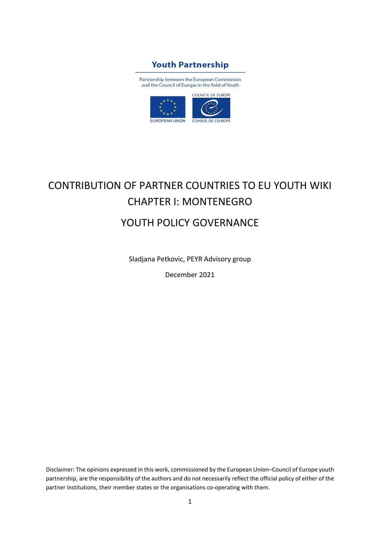## **Youth Partnership**

Partnership between the European Commission and the Council of Europe in the field of Youth



# CONTRIBUTION OF PARTNER COUNTRIES TO EU YOUTH WIKI CHAPTER I: MONTENEGRO YOUTH POLICY GOVERNANCE

Sladjana Petkovic, PEYR Advisory group

December 2021

Disclaimer: The opinions expressed in this work, commissioned by the European Union–Council of Europe youth partnership, are the responsibility of the authors and do not necessarily reflect the official policy of either of the partner institutions, their member states or the organisations co-operating with them.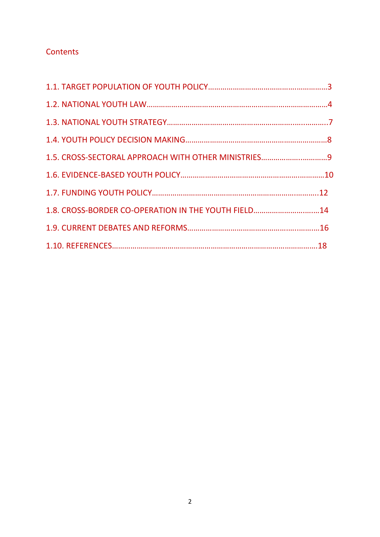## **Contents**

| 1.5. CROSS-SECTORAL APPROACH WITH OTHER MINISTRIES9 |  |
|-----------------------------------------------------|--|
|                                                     |  |
|                                                     |  |
| 1.8. CROSS-BORDER CO-OPERATION IN THE YOUTH FIELD14 |  |
|                                                     |  |
|                                                     |  |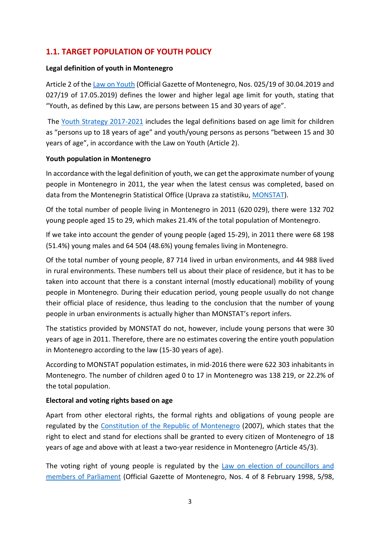## **1.1. TARGET POPULATION OF YOUTH POLICY**

#### **Legal definition of youth in Montenegro**

Article 2 of the Law on [Youth](https://www.katalogpropisa.me/propisi-crne-gore/zakon-o-mladima-4/) (Official Gazette of Montenegro, Nos. 025/19 of 30.04.2019 and 027/19 of 17.05.2019) defines the lower and higher legal age limit for youth, stating that "Youth, as defined by this Law, are persons between 15 and 30 years of age".

The Youth Strategy [2017-2021](http://www.strategijazamlade.me/download/Strategija%2520za%2520mlade%2520eng.pdf) includes the legal definitions based on age limit for children as "persons up to 18 years of age" and youth/young persons as persons "between 15 and 30 years of age", in accordance with the Law on Youth (Article 2).

#### **Youth population in Montenegro**

In accordance with the legal definition of youth, we can get the approximate number of young people in Montenegro in 2011, the year when the latest census was completed, based on data from the Montenegrin Statistical Office (Uprava za statistiku, [MONSTAT\)](https://www.monstat.org/eng/).

Of the total number of people living in Montenegro in 2011 (620 029), there were 132 702 young people aged 15 to 29, which makes 21.4% of the total population of Montenegro.

If we take into account the gender of young people (aged 15-29), in 2011 there were 68 198 (51.4%) young males and 64 504 (48.6%) young females living in Montenegro.

Of the total number of young people, 87 714 lived in urban environments, and 44 988 lived in rural environments. These numbers tell us about their place of residence, but it has to be taken into account that there is a constant internal (mostly educational) mobility of young people in Montenegro. During their education period, young people usually do not change their official place of residence, thus leading to the conclusion that the number of young people in urban environments is actually higher than MONSTAT's report infers.

The statistics provided by MONSTAT do not, however, include young persons that were 30 years of age in 2011. Therefore, there are no estimates covering the entire youth population in Montenegro according to the law (15-30 years of age).

According to MONSTAT population estimates, in mid-2016 there were 622 303 inhabitants in Montenegro. The number of children aged 0 to 17 in Montenegro was 138 219, or 22.2% of the total population.

#### **Electoral and voting rights based on age**

Apart from other electoral rights, the formal rights and obligations of young people are regulated by the Constitution of the Republic of [Montenegro](https://www.paragraf.me/propisi-crnegore/ustav-crne-gore.html) (2007), which states that the right to elect and stand for elections shall be granted to every citizen of Montenegro of 18 years of age and above with at least a two-year residence in Montenegro (Article 45/3).

The voting right of young people is regulated by the Law on election of [councillors](https://www.legislationline.org/download/id/7743/file/Montenegro_Law_elections_councillors_members_of_parliament_1998_am2016_en.pdf) and members of [Parliament](https://www.legislationline.org/download/id/7743/file/Montenegro_Law_elections_councillors_members_of_parliament_1998_am2016_en.pdf) (Official Gazette of Montenegro, Nos. 4 of 8 February 1998, 5/98,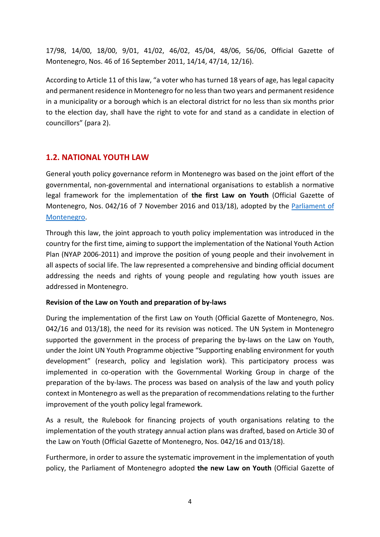17/98, 14/00, 18/00, 9/01, 41/02, 46/02, 45/04, 48/06, 56/06, Official Gazette of Montenegro, Nos. 46 of 16 September 2011, 14/14, 47/14, 12/16).

According to Article 11 of this law, "a voter who has turned 18 years of age, has legal capacity and permanent residence in Montenegro for no lessthan two years and permanent residence in a municipality or a borough which is an electoral district for no less than six months prior to the election day, shall have the right to vote for and stand as a candidate in election of councillors" (para 2).

## **1.2. NATIONAL YOUTH LAW**

General youth policy governance reform in Montenegro was based on the joint effort of the governmental, non-governmental and international organisations to establish a normative legal framework for the implementation of **the first Law on Youth** (Official Gazette of Montenegro, Nos. 042/16 of 7 November 2016 and 013/18), adopted by the [Parliament](https://www.skupstina.me/en/home) of [Montenegro.](https://www.skupstina.me/en/home)

Through this law, the joint approach to youth policy implementation was introduced in the country for the first time, aiming to support the implementation of the National Youth Action Plan (NYAP 2006-2011) and improve the position of young people and their involvement in all aspects of social life. The law represented a comprehensive and binding official document addressing the needs and rights of young people and regulating how youth issues are addressed in Montenegro.

#### **Revision of the Law on Youth and preparation of by-laws**

During the implementation of the first Law on Youth (Official Gazette of Montenegro, Nos. 042/16 and 013/18), the need for its revision was noticed. The UN System in Montenegro supported the government in the process of preparing the by-laws on the Law on Youth, under the Joint UN Youth Programme objective "Supporting enabling environment for youth development" (research, policy and legislation work). This participatory process was implemented in co-operation with the Governmental Working Group in charge of the preparation of the by-laws. The process was based on analysis of the law and youth policy context in Montenegro as well as the preparation of recommendations relating to the further improvement of the youth policy legal framework.

As a result, the Rulebook for financing projects of youth organisations relating to the implementation of the youth strategy annual action plans was drafted, based on Article 30 of the Law on Youth (Official Gazette of Montenegro, Nos. 042/16 and 013/18).

Furthermore, in order to assure the systematic improvement in the implementation of youth policy, the Parliament of Montenegro adopted **the new Law on Youth** (Official Gazette of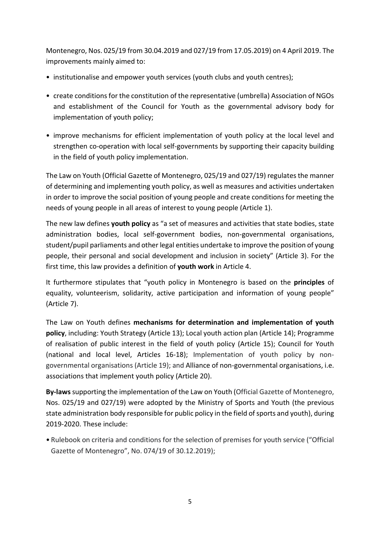Montenegro, Nos. 025/19 from 30.04.2019 and 027/19 from 17.05.2019) on 4 April 2019. The improvements mainly aimed to:

- institutionalise and empower youth services (youth clubs and youth centres);
- create conditions for the constitution of the representative (umbrella) Association of NGOs and establishment of the Council for Youth as the governmental advisory body for implementation of youth policy;
- improve mechanisms for efficient implementation of youth policy at the local level and strengthen co-operation with local self-governments by supporting their capacity building in the field of youth policy implementation.

The Law on Youth (Official Gazette of Montenegro, 025/19 and 027/19) regulatesthe manner of determining and implementing youth policy, as well as measures and activities undertaken in order to improve the social position of young people and create conditions for meeting the needs of young people in all areas of interest to young people (Article 1).

The new law defines **youth policy** as "a set of measures and activities that state bodies, state administration bodies, local self-government bodies, non-governmental organisations, student/pupil parliaments and other legal entities undertake to improve the position of young people, their personal and social development and inclusion in society" (Article 3). For the first time, this law provides a definition of **youth work** in Article 4.

It furthermore stipulates that "youth policy in Montenegro is based on the **principles** of equality, volunteerism, solidarity, active participation and information of young people" (Article 7).

The Law on Youth defines **mechanisms for determination and implementation of youth policy**, including: Youth Strategy (Article 13); Local youth action plan (Article 14); Programme of realisation of public interest in the field of youth policy (Article 15); Council for Youth (national and local level, Articles 16-18); Implementation of youth policy by nongovernmental organisations (Article 19); and Alliance of non-governmental organisations, i.e. associations that implement youth policy (Article 20).

**By-laws** supporting the implementation of the Law on Youth (Official Gazette of Montenegro, Nos. 025/19 and 027/19) were adopted by the Ministry of Sports and Youth (the previous state administration body responsible for public policy in the field of sports and youth), during 2019-2020. These include:

• Rulebook on criteria and conditions for the selection of premises for youth service ("Official Gazette of Montenegro", No. 074/19 of 30.12.2019);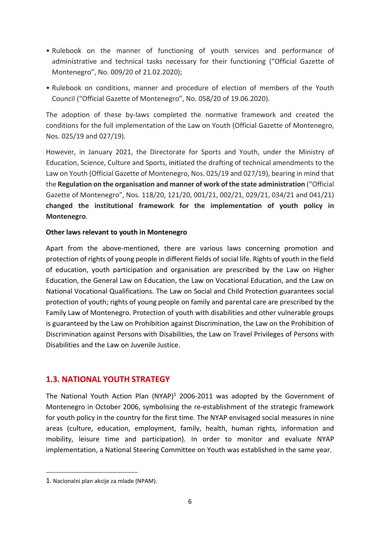- Rulebook on the manner of functioning of youth services and performance of administrative and technical tasks necessary for their functioning ("Official Gazette of Montenegro", No. 009/20 of 21.02.2020);
- Rulebook on conditions, manner and procedure of election of members of the Youth Council ("Official Gazette of Montenegro", No. 058/20 of 19.06.2020).

The adoption of these by-laws completed the normative framework and created the conditions for the full implementation of the Law on Youth (Official Gazette of Montenegro, Nos. 025/19 and 027/19).

However, in January 2021, the Directorate for Sports and Youth, under the Ministry of Education, Science, Culture and Sports, initiated the drafting of technical amendments to the Law on Youth (Official Gazette of Montenegro, Nos. 025/19 and 027/19), bearing in mind that the **Regulation on the organisation and manner of work of the state administration** ("Official Gazette of Montenegro", Nos. 118/20, 121/20, 001/21, 002/21, 029/21, 034/21 and 041/21) **changed the institutional framework for the implementation of youth policy in Montenegro**.

#### **Other laws relevant to youth in Montenegro**

Apart from the above-mentioned, there are various laws concerning promotion and protection of rights of young people in different fields of social life. Rights of youth in the field of education, youth participation and organisation are prescribed by the Law on Higher Education, the General Law on Education, the Law on Vocational Education, and the Law on National Vocational Qualifications. The Law on Social and Child Protection guarantees social protection of youth; rights of young people on family and parental care are prescribed by the Family Law of Montenegro. Protection of youth with disabilities and other vulnerable groups is guaranteed by the Law on Prohibition against Discrimination, the Law on the Prohibition of Discrimination against Persons with Disabilities, the Law on Travel Privileges of Persons with Disabilities and the Law on Juvenile Justice.

## **1.3. NATIONAL YOUTH STRATEGY**

The National Youth Action Plan  $(NYAP)^1$  2006-2011 was adopted by the Government of Montenegro in October 2006, symbolising the re-establishment of the strategic framework for youth policy in the country for the first time. The NYAP envisaged social measures in nine areas (culture, education, employment, family, health, human rights, information and mobility, leisure time and participation). In order to monitor and evaluate NYAP implementation, a National Steering Committee on Youth was established in the same year.

<sup>1</sup>. Nacionalni plan akcije za mlade (NPAM).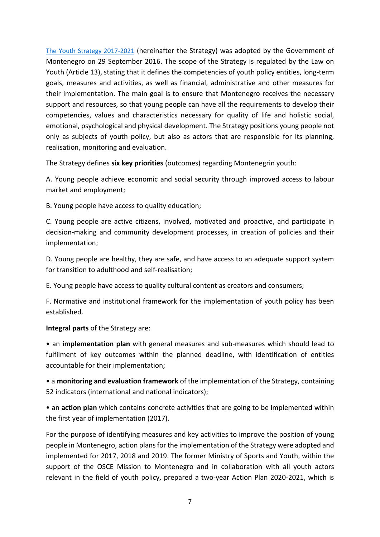The Youth Strategy [2017-2021](http://www.strategijazamlade.me/download/Strategija%2520za%2520mlade%2520eng.pdf) (hereinafter the Strategy) was adopted by the Government of Montenegro on 29 September 2016. The scope of the Strategy is regulated by the Law on Youth (Article 13), stating that it defines the competencies of youth policy entities, long-term goals, measures and activities, as well as financial, administrative and other measures for their implementation. The main goal is to ensure that Montenegro receives the necessary support and resources, so that young people can have all the requirements to develop their competencies, values and characteristics necessary for quality of life and holistic social, emotional, psychological and physical development. The Strategy positions young people not only as subjects of youth policy, but also as actors that are responsible for its planning, realisation, monitoring and evaluation.

The Strategy defines **six key priorities** (outcomes) regarding Montenegrin youth:

A. Young people achieve economic and social security through improved access to labour market and employment;

B. Young people have access to quality education;

C. Young people are active citizens, involved, motivated and proactive, and participate in decision-making and community development processes, in creation of policies and their implementation;

D. Young people are healthy, they are safe, and have access to an adequate support system for transition to adulthood and self-realisation;

E. Young people have access to quality cultural content as creators and consumers;

F. Normative and institutional framework for the implementation of youth policy has been established.

**Integral parts** of the Strategy are:

• an **implementation plan** with general measures and sub-measures which should lead to fulfilment of key outcomes within the planned deadline, with identification of entities accountable for their implementation;

• a **monitoring and evaluation framework** of the implementation of the Strategy, containing 52 indicators (international and national indicators);

• an **action plan** which contains concrete activities that are going to be implemented within the first year of implementation (2017).

For the purpose of identifying measures and key activities to improve the position of young people in Montenegro, action plansfor the implementation of the Strategy were adopted and implemented for 2017, 2018 and 2019. The former Ministry of Sports and Youth, within the support of the OSCE Mission to Montenegro and in collaboration with all youth actors relevant in the field of youth policy, prepared a two-year Action Plan 2020-2021, which is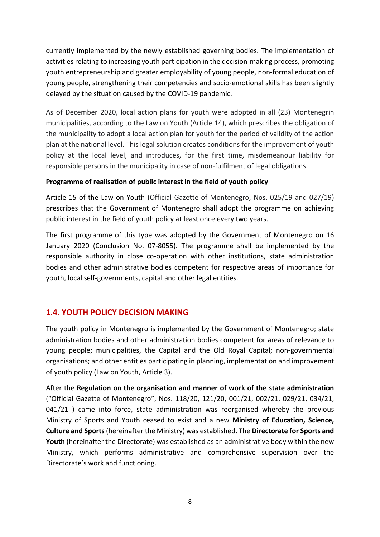currently implemented by the newly established governing bodies. The implementation of activities relating to increasing youth participation in the decision-making process, promoting youth entrepreneurship and greater employability of young people, non-formal education of young people, strengthening their competencies and socio-emotional skills has been slightly delayed by the situation caused by the COVID-19 pandemic.

As of December 2020, local action plans for youth were adopted in all (23) Montenegrin municipalities, according to the Law on Youth (Article 14), which prescribes the obligation of the municipality to adopt a local action plan for youth for the period of validity of the action plan at the national level. This legal solution creates conditions for the improvement of youth policy at the local level, and introduces, for the first time, misdemeanour liability for responsible persons in the municipality in case of non-fulfilment of legal obligations.

#### **Programme of realisation of public interest in the field of youth policy**

Article 15 of the Law on Youth (Official Gazette of Montenegro, Nos. 025/19 and 027/19) prescribes that the Government of Montenegro shall adopt the programme on achieving public interest in the field of youth policy at least once every two years.

The first programme of this type was adopted by the Government of Montenegro on 16 January 2020 (Conclusion No. 07-8055). The programme shall be implemented by the responsible authority in close co-operation with other institutions, state administration bodies and other administrative bodies competent for respective areas of importance for youth, local self-governments, capital and other legal entities.

## **1.4. YOUTH POLICY DECISION MAKING**

The youth policy in Montenegro is implemented by the Government of Montenegro; state administration bodies and other administration bodies competent for areas of relevance to young people; municipalities, the Capital and the Old Royal Capital; non-governmental organisations; and other entities participating in planning, implementation and improvement of youth policy (Law on Youth, Article 3).

After the **Regulation on the organisation and manner of work of the state administration** ("Official Gazette of Montenegro", Nos. 118/20, 121/20, 001/21, 002/21, 029/21, 034/21, 041/21 ) came into force, state administration was reorganised whereby the previous Ministry of Sports and Youth ceased to exist and a new **Ministry of Education, Science, Culture and Sports**(hereinafter the Ministry) was established. The **Directorate for Sports and Youth** (hereinafter the Directorate) was established as an administrative body within the new Ministry, which performs administrative and comprehensive supervision over the Directorate's work and functioning.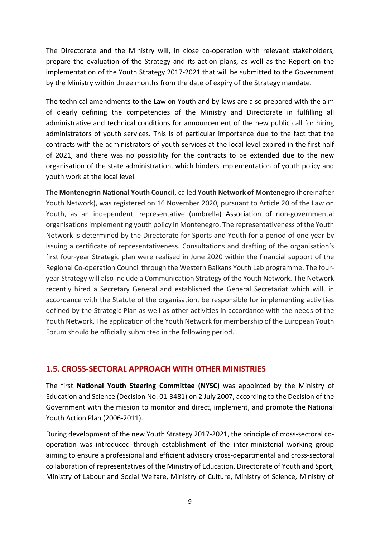The Directorate and the Ministry will, in close co-operation with relevant stakeholders, prepare the evaluation of the Strategy and its action plans, as well as the Report on the implementation of the Youth Strategy 2017-2021 that will be submitted to the Government by the Ministry within three months from the date of expiry of the Strategy mandate.

The technical amendments to the Law on Youth and by-laws are also prepared with the aim of clearly defining the competencies of the Ministry and Directorate in fulfilling all administrative and technical conditions for announcement of the new public call for hiring administrators of youth services. This is of particular importance due to the fact that the contracts with the administrators of youth services at the local level expired in the first half of 2021, and there was no possibility for the contracts to be extended due to the new organisation of the state administration, which hinders implementation of youth policy and youth work at the local level.

**The Montenegrin National Youth Council,** called **Youth Network of Montenegro** (hereinafter Youth Network), was registered on 16 November 2020, pursuant to Article 20 of the Law on Youth, as an independent, representative (umbrella) Association of non-governmental organisationsimplementing youth policy in Montenegro. The representativeness of the Youth Network is determined by the Directorate for Sports and Youth for a period of one year by issuing a certificate of representativeness. Consultations and drafting of the organisation's first four-year Strategic plan were realised in June 2020 within the financial support of the Regional Co-operation Council through the Western Balkans Youth Lab programme. The fouryear Strategy will also include a Communication Strategy of the Youth Network. The Network recently hired a Secretary General and established the General Secretariat which will, in accordance with the Statute of the organisation, be responsible for implementing activities defined by the Strategic Plan as well as other activities in accordance with the needs of the Youth Network. The application of the Youth Network for membership of the European Youth Forum should be officially submitted in the following period.

#### **1.5. CROSS-SECTORAL APPROACH WITH OTHER MINISTRIES**

The first **National Youth Steering Committee (NYSC)** was appointed by the Ministry of Education and Science (Decision No. 01-3481) on 2 July 2007, according to the Decision of the Government with the mission to monitor and direct, implement, and promote the National Youth Action Plan (2006-2011).

During development of the new Youth Strategy 2017-2021, the principle of cross-sectoral cooperation was introduced through establishment of the inter-ministerial working group aiming to ensure a professional and efficient advisory cross-departmental and cross-sectoral collaboration of representatives of the Ministry of Education, Directorate of Youth and Sport, Ministry of Labour and Social Welfare, Ministry of Culture, Ministry of Science, Ministry of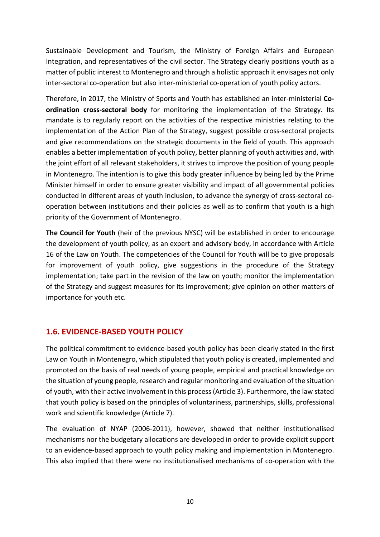Sustainable Development and Tourism, the Ministry of Foreign Affairs and European Integration, and representatives of the civil sector. The Strategy clearly positions youth as a matter of public interest to Montenegro and through a holistic approach it envisages not only inter-sectoral co-operation but also inter-ministerial co-operation of youth policy actors.

Therefore, in 2017, the Ministry of Sports and Youth has established an inter-ministerial **Coordination cross-sectoral body** for monitoring the implementation of the Strategy. Its mandate is to regularly report on the activities of the respective ministries relating to the implementation of the Action Plan of the Strategy, suggest possible cross-sectoral projects and give recommendations on the strategic documents in the field of youth. This approach enables a better implementation of youth policy, better planning of youth activities and, with the joint effort of all relevant stakeholders, it strives to improve the position of young people in Montenegro. The intention is to give this body greater influence by being led by the Prime Minister himself in order to ensure greater visibility and impact of all governmental policies conducted in different areas of youth inclusion, to advance the synergy of cross-sectoral cooperation between institutions and their policies as well as to confirm that youth is a high priority of the Government of Montenegro.

**The Council for Youth** (heir of the previous NYSC) will be established in order to encourage the development of youth policy, as an expert and advisory body, in accordance with Article 16 of the Law on Youth. The competencies of the Council for Youth will be to give proposals for improvement of youth policy, give suggestions in the procedure of the Strategy implementation; take part in the revision of the law on youth; monitor the implementation of the Strategy and suggest measures for its improvement; give opinion on other matters of importance for youth etc.

## **1.6. EVIDENCE-BASED YOUTH POLICY**

The political commitment to evidence-based youth policy has been clearly stated in the first Law on Youth in Montenegro, which stipulated that youth policy is created, implemented and promoted on the basis of real needs of young people, empirical and practical knowledge on the situation of young people, research and regular monitoring and evaluation of the situation of youth, with their active involvement in this process (Article 3). Furthermore, the law stated that youth policy is based on the principles of voluntariness, partnerships, skills, professional work and scientific knowledge (Article 7).

The evaluation of NYAP (2006-2011), however, showed that neither institutionalised mechanisms nor the budgetary allocations are developed in order to provide explicit support to an evidence-based approach to youth policy making and implementation in Montenegro. This also implied that there were no institutionalised mechanisms of co-operation with the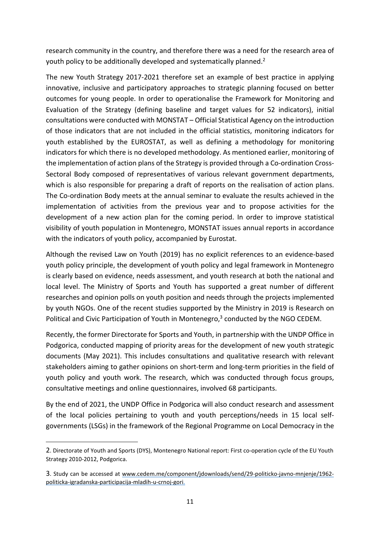research community in the country, and therefore there was a need for the research area of youth policy to be additionally developed and systematically planned.<sup>2</sup>

The new Youth Strategy 2017-2021 therefore set an example of best practice in applying innovative, inclusive and participatory approaches to strategic planning focused on better outcomes for young people. In order to operationalise the Framework for Monitoring and Evaluation of the Strategy (defining baseline and target values for 52 indicators), initial consultations were conducted with MONSTAT – Official Statistical Agency on the introduction of those indicators that are not included in the official statistics, monitoring indicators for youth established by the EUROSTAT, as well as defining a methodology for monitoring indicators for which there is no developed methodology. As mentioned earlier, monitoring of the implementation of action plans of the Strategy is provided through a Co-ordination Cross-Sectoral Body composed of representatives of various relevant government departments, which is also responsible for preparing a draft of reports on the realisation of action plans. The Co-ordination Body meets at the annual seminar to evaluate the results achieved in the implementation of activities from the previous year and to propose activities for the development of a new action plan for the coming period. In order to improve statistical visibility of youth population in Montenegro, MONSTAT issues annual reports in accordance with the indicators of youth policy, accompanied by Eurostat.

Although the revised Law on Youth (2019) has no explicit references to an evidence-based youth policy principle, the development of youth policy and legal framework in Montenegro is clearly based on evidence, needs assessment, and youth research at both the national and local level. The Ministry of Sports and Youth has supported a great number of different researches and opinion polls on youth position and needs through the projects implemented by youth NGOs. One of the recent studies supported by the Ministry in 2019 is Research on Political and Civic Participation of Youth in Montenegro,<sup>3</sup> conducted by the NGO CEDEM.

Recently, the former Directorate for Sports and Youth, in partnership with the UNDP Office in Podgorica, conducted mapping of priority areas for the development of new youth strategic documents (May 2021). This includes consultations and qualitative research with relevant stakeholders aiming to gather opinions on short-term and long-term priorities in the field of youth policy and youth work. The research, which was conducted through focus groups, consultative meetings and online questionnaires, involved 68 participants.

By the end of 2021, the UNDP Office in Podgorica will also conduct research and assessment of the local policies pertaining to youth and youth perceptions/needs in 15 local selfgovernments (LSGs) in the framework of the Regional Programme on Local Democracy in the

<sup>2</sup>. Directorate of Youth and Sports (DYS), Montenegro National report: First co-operation cycle of the EU Youth Strategy 2010-2012, Podgorica.

<sup>3</sup>. Study can be accessed at [www.cedem.me/component/jdownloads/send/29-politicko-javno-mnjenje/1962](www.cedem.me/component/jdownloads/send/29-politicko-javno-mnjenje/1962-politicka-igradanska-participacija-mladih-u-crnoj-gori) [politicka-igradanska-participacija-mladih-u-crnoj-gori.](www.cedem.me/component/jdownloads/send/29-politicko-javno-mnjenje/1962-politicka-igradanska-participacija-mladih-u-crnoj-gori)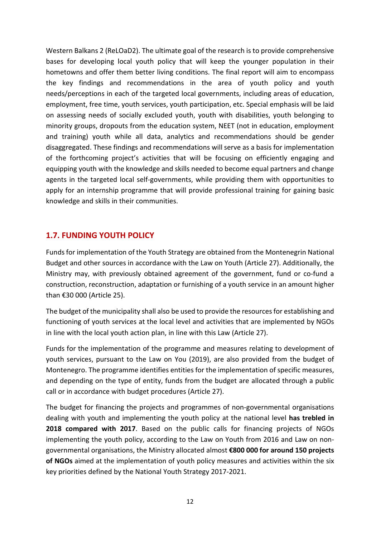Western Balkans 2 (ReLOaD2). The ultimate goal of the research is to provide comprehensive bases for developing local youth policy that will keep the younger population in their hometowns and offer them better living conditions. The final report will aim to encompass the key findings and recommendations in the area of youth policy and youth needs/perceptions in each of the targeted local governments, including areas of education, employment, free time, youth services, youth participation, etc. Special emphasis will be laid on assessing needs of socially excluded youth, youth with disabilities, youth belonging to minority groups, dropouts from the education system, NEET (not in education, employment and training) youth while all data, analytics and recommendations should be gender disaggregated. These findings and recommendations will serve as a basis for implementation of the forthcoming project's activities that will be focusing on efficiently engaging and equipping youth with the knowledge and skills needed to become equal partners and change agents in the targeted local self-governments, while providing them with opportunities to apply for an internship programme that will provide professional training for gaining basic knowledge and skills in their communities.

## **1.7. FUNDING YOUTH POLICY**

Fundsfor implementation of the Youth Strategy are obtained from the Montenegrin National Budget and other sources in accordance with the Law on Youth (Article 27). Additionally, the Ministry may, with previously obtained agreement of the government, fund or co-fund a construction, reconstruction, adaptation or furnishing of a youth service in an amount higher than €30 000 (Article 25).

The budget of the municipality shall also be used to provide the resourcesfor establishing and functioning of youth services at the local level and activities that are implemented by NGOs in line with the local youth action plan, in line with this Law (Article 27).

Funds for the implementation of the programme and measures relating to development of youth services, pursuant to the Law on You (2019), are also provided from the budget of Montenegro. The programme identifies entities for the implementation of specific measures, and depending on the type of entity, funds from the budget are allocated through a public call or in accordance with budget procedures (Article 27).

The budget for financing the projects and programmes of non-governmental organisations dealing with youth and implementing the youth policy at the national level **has trebled in 2018 compared with 2017**. Based on the public calls for financing projects of NGOs implementing the youth policy, according to the Law on Youth from 2016 and Law on nongovernmental organisations, the Ministry allocated almost **€800 000 for around 150 projects of NGOs** aimed at the implementation of youth policy measures and activities within the six key priorities defined by the National Youth Strategy 2017-2021.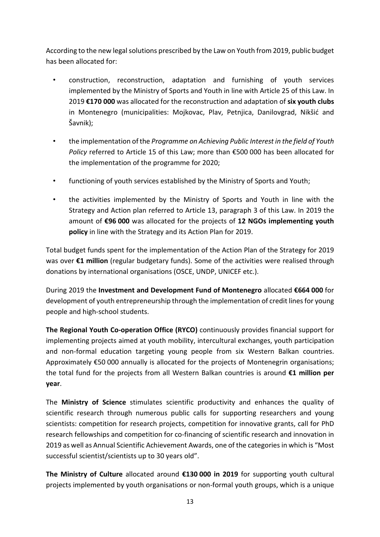According to the new legalsolutions prescribed by the Law on Youth from 2019, public budget has been allocated for:

- construction, reconstruction, adaptation and furnishing of youth services implemented by the Ministry of Sports and Youth in line with Article 25 of this Law. In 2019 **€170 000** was allocated for the reconstruction and adaptation of **six youth clubs** in Montenegro (municipalities: Mojkovac, Plav, Petnjica, Danilovgrad, Nikšić and Šavnik);
- the implementation ofthe *Programme on Achieving Public Interest in the field of Youth Policy* referred to Article 15 of this Law; more than €500 000 has been allocated for the implementation of the programme for 2020;
- functioning of youth services established by the Ministry of Sports and Youth;
- the activities implemented by the Ministry of Sports and Youth in line with the Strategy and Action plan referred to Article 13, paragraph 3 of this Law. In 2019 the amount of **€96 000** was allocated for the projects of **12 NGOs implementing youth policy** in line with the Strategy and its Action Plan for 2019.

Total budget funds spent for the implementation of the Action Plan of the Strategy for 2019 was over **€1 million** (regular budgetary funds). Some of the activities were realised through donations by international organisations (OSCE, UNDP, UNICEF etc.).

During 2019 the **Investment and Development Fund of Montenegro** allocated **€664 000** for development of youth entrepreneurship through the implementation of credit linesfor young people and high-school students.

**The Regional Youth Co-operation Office (RYCO)** continuously provides financial support for implementing projects aimed at youth mobility, intercultural exchanges, youth participation and non-formal education targeting young people from six Western Balkan countries. Approximately €50 000 annually is allocated for the projects of Montenegrin organisations; the total fund for the projects from all Western Balkan countries is around **€1 million per year**.

The **Ministry of Science** stimulates scientific productivity and enhances the quality of scientific research through numerous public calls for supporting researchers and young scientists: competition for research projects, competition for innovative grants, call for PhD research fellowships and competition for co-financing of scientific research and innovation in 2019 as well as Annual Scientific Achievement Awards, one of the categories in which is "Most successful scientist/scientists up to 30 years old".

**The Ministry of Culture** allocated around **€130 000 in 2019** for supporting youth cultural projects implemented by youth organisations or non-formal youth groups, which is a unique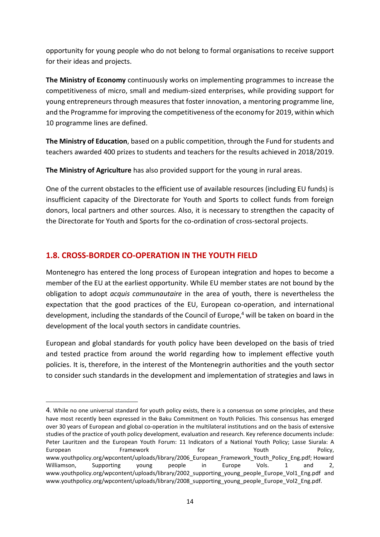opportunity for young people who do not belong to formal organisations to receive support for their ideas and projects.

**The Ministry of Economy** continuously works on implementing programmes to increase the competitiveness of micro, small and medium-sized enterprises, while providing support for young entrepreneurs through measures that foster innovation, a mentoring programme line, and the Programme for improving the competitiveness of the economy for 2019, within which 10 programme lines are defined.

**The Ministry of Education**, based on a public competition, through the Fund for students and teachers awarded 400 prizes to students and teachers for the results achieved in 2018/2019.

**The Ministry of Agriculture** has also provided support for the young in rural areas.

One of the current obstacles to the efficient use of available resources (including EU funds) is insufficient capacity of the Directorate for Youth and Sports to collect funds from foreign donors, local partners and other sources. Also, it is necessary to strengthen the capacity of the Directorate for Youth and Sports for the co-ordination of cross-sectoral projects.

## **1.8. CROSS-BORDER CO-OPERATION IN THE YOUTH FIELD**

Montenegro has entered the long process of European integration and hopes to become a member of the EU at the earliest opportunity. While EU member states are not bound by the obligation to adopt *acquis communautaire* in the area of youth, there is nevertheless the expectation that the good practices of the EU, European co-operation, and international development, including the standards of the Council of Europe, <sup>4</sup> will be taken on board in the development of the local youth sectors in candidate countries.

European and global standards for youth policy have been developed on the basis of tried and tested practice from around the world regarding how to implement effective youth policies. It is, therefore, in the interest of the Montenegrin authorities and the youth sector to consider such standards in the development and implementation of strategies and laws in

<sup>4</sup>. While no one universal standard for youth policy exists, there is a consensus on some principles, and these have most recently been expressed in the Baku Commitment on Youth Policies. This consensus has emerged over 30 years of European and global co-operation in the multilateral institutions and on the basis of extensive studies of the practice of youth policy development, evaluation and research. Key reference documents include: Peter Lauritzen and the European Youth Forum: 11 Indicators of a National Youth Policy; Lasse Siurala: A European Framework for Youth Policy, www.youthpolicy.org/wpcontent/uploads/library/2006 European Framework Youth Policy Eng.pdf; Howard Williamson, Supporting young people in Europe Vols. 1 and 2, www.youthpolicy.org/wpcontent/uploads/library/2002\_supporting\_young\_people\_Europe\_Vol1\_Eng.pdf and www.youthpolicy.org/wpcontent/uploads/library/2008\_supporting\_young\_people\_Europe\_Vol2\_Eng.pdf.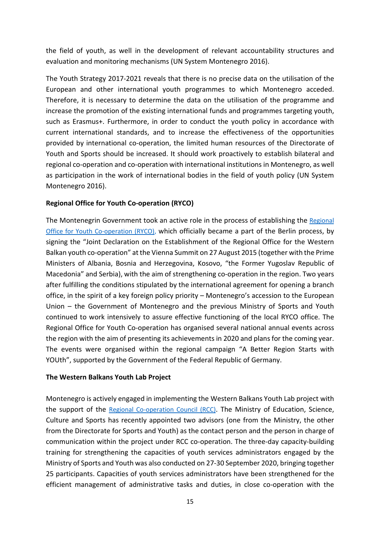the field of youth, as well in the development of relevant accountability structures and evaluation and monitoring mechanisms (UN System Montenegro 2016).

The Youth Strategy 2017-2021 reveals that there is no precise data on the utilisation of the European and other international youth programmes to which Montenegro acceded. Therefore, it is necessary to determine the data on the utilisation of the programme and increase the promotion of the existing international funds and programmes targeting youth, such as Erasmus+. Furthermore, in order to conduct the youth policy in accordance with current international standards, and to increase the effectiveness of the opportunities provided by international co-operation, the limited human resources of the Directorate of Youth and Sports should be increased. It should work proactively to establish bilateral and regional co-operation and co-operation with international institutions in Montenegro, as well as participation in the work of international bodies in the field of youth policy (UN System Montenegro 2016).

#### **Regional Office for Youth Co-operation (RYCO)**

The Montenegrin Government took an active role in the process of establishing the [Regional](https://www.rycowb.org/) Office for Youth [Co-operation](https://www.rycowb.org/) (RYCO), which officially became a part of the Berlin process, by signing the "Joint Declaration on the Establishment of the Regional Office for the Western Balkan youth co-operation" at the Vienna Summit on 27 August 2015 (together with the Prime Ministers of Albania, Bosnia and Herzegovina, Kosovo, "the Former Yugoslav Republic of Macedonia" and Serbia), with the aim of strengthening co-operation in the region. Two years after fulfilling the conditions stipulated by the international agreement for opening a branch office, in the spirit of a key foreign policy priority – Montenegro's accession to the European Union – the Government of Montenegro and the previous Ministry of Sports and Youth continued to work intensively to assure effective functioning of the local RYCO office. The Regional Office for Youth Co-operation has organised several national annual events across the region with the aim of presenting its achievements in 2020 and plansfor the coming year. The events were organised within the regional campaign "A Better Region Starts with YOUth", supported by the Government of the Federal Republic of Germany.

#### **The Western Balkans Youth Lab Project**

Montenegro is actively engaged in implementing the Western Balkans Youth Lab project with the support of the Regional [Co-operation](https://www.rcc.int/) Council (RCC). The Ministry of Education, Science, Culture and Sports has recently appointed two advisors (one from the Ministry, the other from the Directorate for Sports and Youth) as the contact person and the person in charge of communication within the project under RCC co-operation. The three-day capacity-building training for strengthening the capacities of youth services administrators engaged by the Ministry of Sports and Youth was also conducted on 27-30 September 2020, bringing together 25 participants. Capacities of youth services administrators have been strengthened for the efficient management of administrative tasks and duties, in close co-operation with the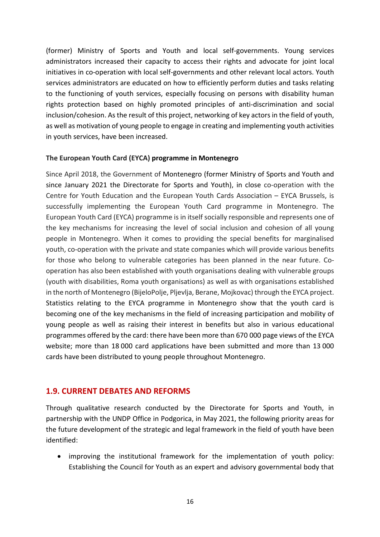(former) Ministry of Sports and Youth and local self-governments. Young services administrators increased their capacity to access their rights and advocate for joint local initiatives in co-operation with local self-governments and other relevant local actors. Youth services administrators are educated on how to efficiently perform duties and tasks relating to the functioning of youth services, especially focusing on persons with disability human rights protection based on highly promoted principles of anti-discrimination and social inclusion/cohesion. As the result of this project, networking of key actors in the field of youth, as well as motivation of young people to engage in creating and implementing youth activities in youth services, have been increased.

#### **The European Youth Card (EYCA) programme in Montenegro**

Since April 2018, the Government of Montenegro (former Ministry of Sports and Youth and since January 2021 the Directorate for Sports and Youth), in close co-operation with the Centre for Youth Education and the European Youth Cards Association – EYCA Brussels, is successfully implementing the European Youth Card programme in Montenegro. The European Youth Card (EYCA) programme is in itself socially responsible and represents one of the key mechanisms for increasing the level of social inclusion and cohesion of all young people in Montenegro. When it comes to providing the special benefits for marginalised youth, co-operation with the private and state companies which will provide various benefits for those who belong to vulnerable categories has been planned in the near future. Cooperation has also been established with youth organisations dealing with vulnerable groups (youth with disabilities, Roma youth organisations) as well as with organisations established in the north of Montenegro (BijeloPolje, Pljevlja, Berane, Mojkovac) through the EYCA project. Statistics relating to the EYCA programme in Montenegro show that the youth card is becoming one of the key mechanisms in the field of increasing participation and mobility of young people as well as raising their interest in benefits but also in various educational programmes offered by the card: there have been more than 670 000 page views of the EYCA website; more than 18 000 card applications have been submitted and more than 13 000 cards have been distributed to young people throughout Montenegro.

## **1.9. CURRENT DEBATES AND REFORMS**

Through qualitative research conducted by the Directorate for Sports and Youth, in partnership with the UNDP Office in Podgorica, in May 2021, the following priority areas for the future development of the strategic and legal framework in the field of youth have been identified:

• improving the institutional framework for the implementation of youth policy: Establishing the Council for Youth as an expert and advisory governmental body that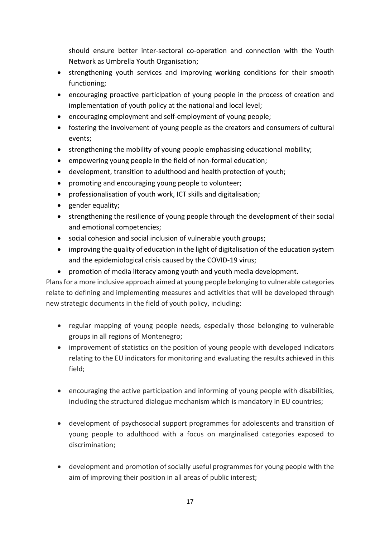should ensure better inter-sectoral co-operation and connection with the Youth Network as Umbrella Youth Organisation;

- strengthening youth services and improving working conditions for their smooth functioning;
- encouraging proactive participation of young people in the process of creation and implementation of youth policy at the national and local level;
- encouraging employment and self-employment of young people;
- fostering the involvement of young people as the creators and consumers of cultural events;
- strengthening the mobility of young people emphasising educational mobility;
- empowering young people in the field of non-formal education;
- development, transition to adulthood and health protection of youth;
- promoting and encouraging young people to volunteer;
- professionalisation of youth work, ICT skills and digitalisation;
- gender equality;
- strengthening the resilience of young people through the development of their social and emotional competencies;
- social cohesion and social inclusion of vulnerable youth groups;
- improving the quality of education in the light of digitalisation of the education system and the epidemiological crisis caused by the COVID-19 virus;
- promotion of media literacy among youth and youth media development.

Plans for a more inclusive approach aimed at young people belonging to vulnerable categories relate to defining and implementing measures and activities that will be developed through new strategic documents in the field of youth policy, including:

- regular mapping of young people needs, especially those belonging to vulnerable groups in all regions of Montenegro;
- improvement of statistics on the position of young people with developed indicators relating to the EU indicators for monitoring and evaluating the results achieved in this field;
- encouraging the active participation and informing of young people with disabilities, including the structured dialogue mechanism which is mandatory in EU countries;
- development of psychosocial support programmes for adolescents and transition of young people to adulthood with a focus on marginalised categories exposed to discrimination;
- development and promotion of socially useful programmes for young people with the aim of improving their position in all areas of public interest;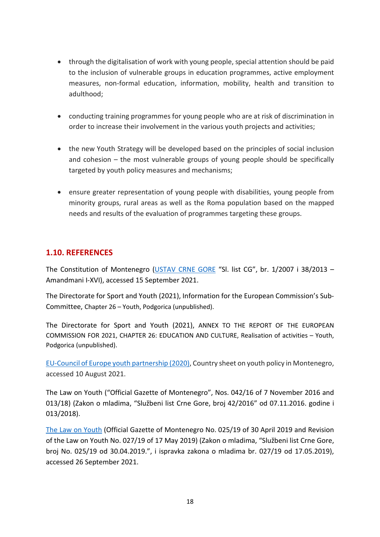- through the digitalisation of work with young people, special attention should be paid to the inclusion of vulnerable groups in education programmes, active employment measures, non-formal education, information, mobility, health and transition to adulthood;
- conducting training programmes for young people who are at risk of discrimination in order to increase their involvement in the various youth projects and activities;
- the new Youth Strategy will be developed based on the principles of social inclusion and cohesion – the most vulnerable groups of young people should be specifically targeted by youth policy measures and mechanisms;
- ensure greater representation of young people with disabilities, young people from minority groups, rural areas as well as the Roma population based on the mapped needs and results of the evaluation of programmes targeting these groups.

## **1.10. REFERENCES**

The Constitution of Montenegro [\(USTAV](https://www.paragraf.me/propisi-crnegore/ustav-crne-gore.html) CRNE GORE "Sl. list CG", br. 1/2007 i 38/2013 – Amandmani I-XVI), accessed 15 September 2021.

The Directorate for Sport and Youth (2021), Information for the European Commission's Sub-Committee, Chapter 26 – Youth, Podgorica (unpublished).

The Directorate for Sport and Youth (2021), ANNEX TO THE REPORT OF THE EUROPEAN COMMISSION FOR 2021, CHAPTER 26: EDUCATION AND CULTURE, Realisation of activities – Youth, Podgorica (unpublished).

EU-Council of Europe youth [partnership](https://pjp-eu.coe.int/documents/42128013/63134234/Youth_policy-MNE-2020.pdf/2f9332e6-6629-58b4-0d82-256aa5be8c06) (2020), Country sheet on youth policy in Montenegro, accessed 10 August 2021.

The Law on Youth ("Official Gazette of Montenegro", Nos. 042/16 of 7 November 2016 and 013/18) (Zakon o mladima, "Službeni list Crne Gore, broj 42/2016" od 07.11.2016. godine i 013/2018).

The Law on [Youth](https://www.katalogpropisa.me/propisi-crne-gore/zakon-o-mladima-4/) (Official Gazette of Montenegro No. 025/19 of 30 April 2019 and Revision of the Law on Youth No. 027/19 of 17 May 2019) (Zakon o mladima, "Službeni list Crne Gore, broj No. 025/19 od 30.04.2019.", i ispravka zakona o mladima br. 027/19 od 17.05.2019), accessed 26 September 2021.